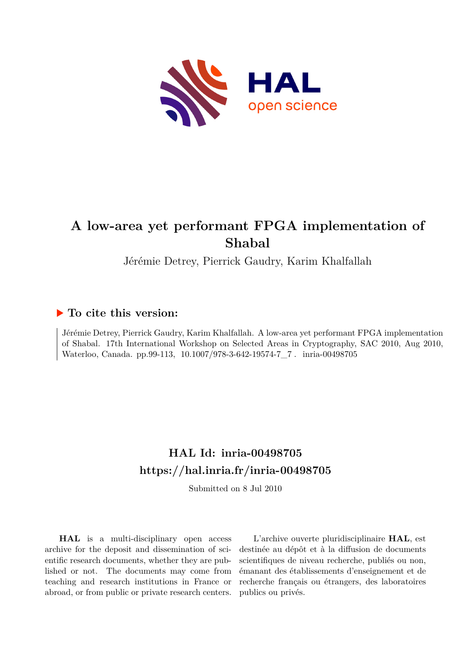

# **A low-area yet performant FPGA implementation of Shabal**

Jérémie Detrey, Pierrick Gaudry, Karim Khalfallah

## **To cite this version:**

Jérémie Detrey, Pierrick Gaudry, Karim Khalfallah. A low-area yet performant FPGA implementation of Shabal. 17th International Workshop on Selected Areas in Cryptography, SAC 2010, Aug 2010, Waterloo, Canada. pp.99-113, 10.1007/978-3-642-19574-7\_7. inria-00498705

# **HAL Id: inria-00498705 <https://hal.inria.fr/inria-00498705>**

Submitted on 8 Jul 2010

**HAL** is a multi-disciplinary open access archive for the deposit and dissemination of scientific research documents, whether they are published or not. The documents may come from teaching and research institutions in France or abroad, or from public or private research centers.

L'archive ouverte pluridisciplinaire **HAL**, est destinée au dépôt et à la diffusion de documents scientifiques de niveau recherche, publiés ou non, émanant des établissements d'enseignement et de recherche français ou étrangers, des laboratoires publics ou privés.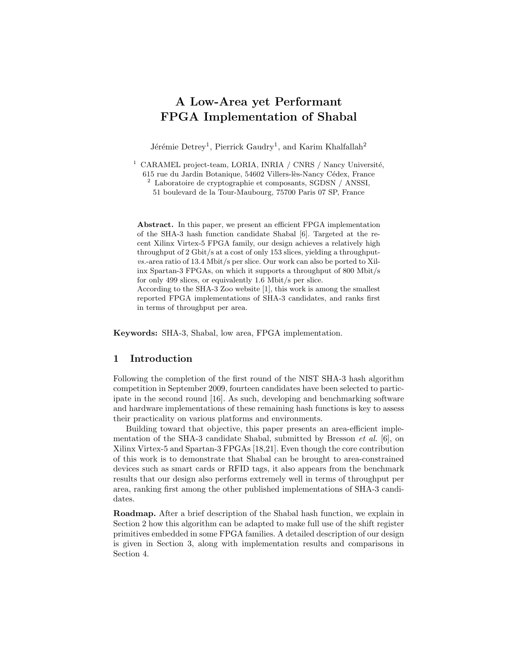## A Low-Area yet Performant FPGA Implementation of Shabal

Jérémie Detrey<sup>1</sup>, Pierrick Gaudry<sup>1</sup>, and Karim Khalfallah<sup>2</sup>

 $1$  CARAMEL project-team, LORIA, INRIA / CNRS / Nancy Université, 615 rue du Jardin Botanique, 54602 Villers-lès-Nancy Cédex, France

<sup>2</sup> Laboratoire de cryptographie et composants, SGDSN / ANSSI,

51 boulevard de la Tour-Maubourg, 75700 Paris 07 SP, France

Abstract. In this paper, we present an efficient FPGA implementation of the SHA-3 hash function candidate Shabal [6]. Targeted at the recent Xilinx Virtex-5 FPGA family, our design achieves a relatively high throughput of 2 Gbit/s at a cost of only 153 slices, yielding a throughputvs.-area ratio of 13.4 Mbit/s per slice. Our work can also be ported to Xilinx Spartan-3 FPGAs, on which it supports a throughput of 800 Mbit/s for only 499 slices, or equivalently 1.6 Mbit/s per slice. According to the SHA-3 Zoo website [1], this work is among the smallest reported FPGA implementations of SHA-3 candidates, and ranks first in terms of throughput per area.

Keywords: SHA-3, Shabal, low area, FPGA implementation.

#### 1 Introduction

Following the completion of the first round of the NIST SHA-3 hash algorithm competition in September 2009, fourteen candidates have been selected to participate in the second round [16]. As such, developing and benchmarking software and hardware implementations of these remaining hash functions is key to assess their practicality on various platforms and environments.

Building toward that objective, this paper presents an area-efficient implementation of the SHA-3 candidate Shabal, submitted by Bresson *et al.* [6], on Xilinx Virtex-5 and Spartan-3 FPGAs [18,21]. Even though the core contribution of this work is to demonstrate that Shabal can be brought to area-constrained devices such as smart cards or RFID tags, it also appears from the benchmark results that our design also performs extremely well in terms of throughput per area, ranking first among the other published implementations of SHA-3 candidates.

Roadmap. After a brief description of the Shabal hash function, we explain in Section 2 how this algorithm can be adapted to make full use of the shift register primitives embedded in some FPGA families. A detailed description of our design is given in Section 3, along with implementation results and comparisons in Section 4.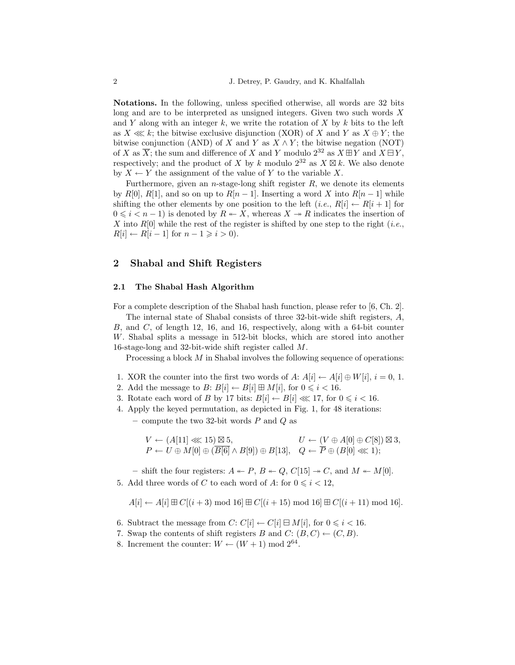Notations. In the following, unless specified otherwise, all words are 32 bits long and are to be interpreted as unsigned integers. Given two such words X and Y along with an integer k, we write the rotation of X by k bits to the left as  $X \ll k$ ; the bitwise exclusive disjunction (XOR) of X and Y as  $X \oplus Y$ ; the bitwise conjunction (AND) of X and Y as  $X \wedge Y$ ; the bitwise negation (NOT) of X as  $\overline{X}$ ; the sum and difference of X and Y modulo  $2^{32}$  as  $X \boxplus Y$  and  $X \boxplus Y$ , respectively; and the product of X by k modulo  $2^{32}$  as  $X \boxtimes k$ . We also denote by  $X \leftarrow Y$  the assignment of the value of Y to the variable X.

Furthermore, given an *n*-stage-long shift register  $R$ , we denote its elements by R[0], R[1], and so on up to  $R[n-1]$ . Inserting a word X into  $R[n-1]$  while shifting the other elements by one position to the left  $(i.e., R[i] \leftarrow R[i+1]$  for  $0 \leq i \leq n-1$ ) is denoted by  $R \leftarrow X$ , whereas  $X \rightarrow R$  indicates the insertion of X into  $R[0]$  while the rest of the register is shifted by one step to the right (*i.e.*,  $R[i] \leftarrow R[i-1]$  for  $n-1 \geq i > 0$ ).

## 2 Shabal and Shift Registers

#### 2.1 The Shabal Hash Algorithm

For a complete description of the Shabal hash function, please refer to [6, Ch. 2].

The internal state of Shabal consists of three 32-bit-wide shift registers, A, B, and C, of length 12, 16, and 16, respectively, along with a 64-bit counter W. Shabal splits a message in 512-bit blocks, which are stored into another 16-stage-long and 32-bit-wide shift register called M.

Processing a block M in Shabal involves the following sequence of operations:

- 1. XOR the counter into the first two words of  $A: A[i] \leftarrow A[i] \oplus W[i], i = 0, 1$ .
- 2. Add the message to  $B: B[i] \leftarrow B[i] \boxplus M[i]$ , for  $0 \le i < 16$ .
- 3. Rotate each word of B by 17 bits:  $B[i] \leftarrow B[i] \ll 17$ , for  $0 \le i < 16$ .
- 4. Apply the keyed permutation, as depicted in Fig. 1, for 48 iterations: – compute the two 32-bit words  $P$  and  $Q$  as

$$
\begin{array}{ll} V \leftarrow (A[11] \lll 15) \boxtimes 5, & U \leftarrow (V \oplus A[0] \oplus C[8]) \boxtimes 3, \\ P \leftarrow U \oplus M[0] \oplus (\overline{B[6]} \wedge B[9]) \oplus B[13], & Q \leftarrow \overline{P} \oplus (B[0] \lll 1); \end{array}
$$

– shift the four registers:  $A \leftarrow P$ ,  $B \leftarrow Q$ ,  $C[15] \rightarrow C$ , and  $M \leftarrow M[0]$ . 5. Add three words of C to each word of A: for  $0 \leq i \leq 12$ ,

$$
A[i] \leftarrow A[i] \boxplus C[(i+3) \mod 16] \boxplus C[(i+15) \mod 16] \boxplus C[(i+11) \mod 16].
$$

- 6. Subtract the message from  $C: C[i] \leftarrow C[i] \oplus M[i]$ , for  $0 \leq i < 16$ .
- 7. Swap the contents of shift registers B and  $C: (B, C) \leftarrow (C, B)$ .
- 8. Increment the counter:  $W \leftarrow (W + 1) \text{ mod } 2^{64}$ .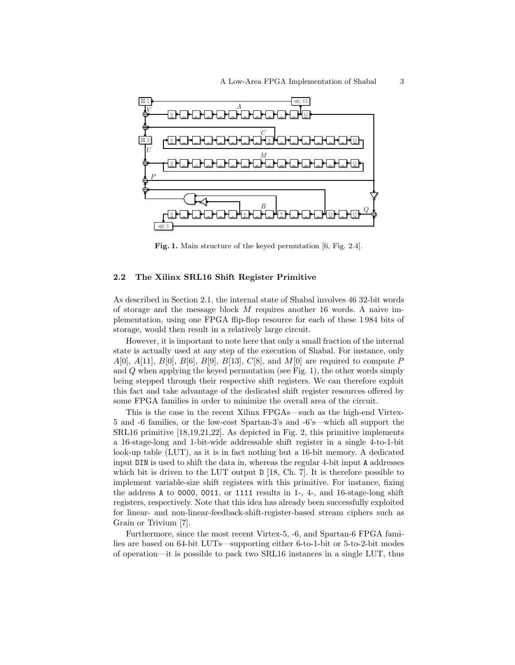

Fig. 1. Main structure of the keyed permutation [6, Fig. 2.4].

#### 2.2 The Xilinx SRL16 Shift Register Primitive

As described in Section 2.1, the internal state of Shabal involves 46 32-bit words of storage and the message block M requires another 16 words. A naive implementation, using one FPGA flip-flop resource for each of these 1 984 bits of storage, would then result in a relatively large circuit.

However, it is important to note here that only a small fraction of the internal state is actually used at any step of the execution of Shabal. For instance, only  $A[0], A[11], B[0], B[6], B[9], B[13], C[8],$  and  $M[0]$  are required to compute P and Q when applying the keyed permutation (see Fig. 1), the other words simply being stepped through their respective shift registers. We can therefore exploit this fact and take advantage of the dedicated shift register resources offered by some FPGA families in order to minimize the overall area of the circuit.

This is the case in the recent Xilinx FPGAs—such as the high-end Virtex-5 and -6 families, or the low-cost Spartan-3's and -6's—which all support the SRL16 primitive [18,19,21,22]. As depicted in Fig. 2, this primitive implements a 16-stage-long and 1-bit-wide addressable shift register in a single 4-to-1-bit look-up table (LUT), as it is in fact nothing but a 16-bit memory. A dedicated input DIN is used to shift the data in, whereas the regular 4-bit input A addresses which bit is driven to the LUT output  $D$  [18, Ch. 7]. It is therefore possible to implement variable-size shift registers with this primitive. For instance, fixing the address A to 0000, 0011, or 1111 results in 1-, 4-, and 16-stage-long shift registers, respectively. Note that this idea has already been successfully exploited for linear- and non-linear-feedback-shift-register-based stream ciphers such as Grain or Trivium [7].

Furthermore, since the most recent Virtex-5, -6, and Spartan-6 FPGA families are based on 64-bit LUTs—supporting either 6-to-1-bit or 5-to-2-bit modes of operation—it is possible to pack two SRL16 instances in a single LUT, thus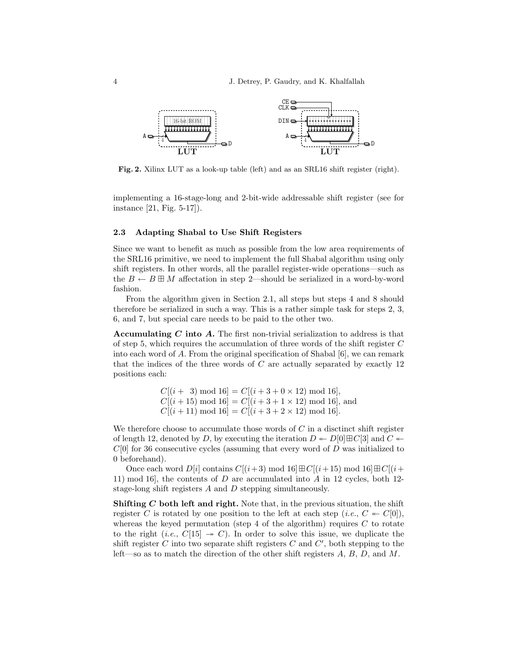

Fig. 2. Xilinx LUT as a look-up table (left) and as an SRL16 shift register (right).

implementing a 16-stage-long and 2-bit-wide addressable shift register (see for instance [21, Fig. 5-17]).

#### 2.3 Adapting Shabal to Use Shift Registers

Since we want to benefit as much as possible from the low area requirements of the SRL16 primitive, we need to implement the full Shabal algorithm using only shift registers. In other words, all the parallel register-wide operations—such as the  $B \leftarrow B \boxplus M$  affectation in step 2—should be serialized in a word-by-word fashion.

From the algorithm given in Section 2.1, all steps but steps 4 and 8 should therefore be serialized in such a way. This is a rather simple task for steps 2, 3, 6, and 7, but special care needs to be paid to the other two.

Accumulating C into A. The first non-trivial serialization to address is that of step 5, which requires the accumulation of three words of the shift register C into each word of  $A$ . From the original specification of Shabal  $[6]$ , we can remark that the indices of the three words of  $C$  are actually separated by exactly 12 positions each:

> $C[(i+3) \mod 16] = C[(i+3+0\times 12) \mod 16],$  $C[(i+15) \mod 16] = C[(i+3+1\times 12) \mod 16]$ , and  $C[(i+11) \mod 16] = C[(i+3+2\times 12) \mod 16].$

We therefore choose to accumulate those words of  $C$  in a disctinct shift register of length 12, denoted by D, by executing the iteration  $D \leftarrow D[0]\boxplus C[3]$  and  $C \leftarrow$  $C[0]$  for 36 consecutive cycles (assuming that every word of D was initialized to 0 beforehand).

Once each word  $D[i]$  contains  $C[(i+3) \mod 16] \boxplus C[(i+15) \mod 16] \boxplus C[(i+15) \mod 16]$ 11) mod 16], the contents of  $D$  are accumulated into  $A$  in 12 cycles, both 12stage-long shift registers A and D stepping simultaneously.

Shifting  $C$  both left and right. Note that, in the previous situation, the shift register C is rotated by one position to the left at each step (*i.e.*,  $C \leftarrow C[0],$ whereas the keyed permutation (step 4 of the algorithm) requires  $C$  to rotate to the right (i.e.,  $C[15] \rightarrow C$ ). In order to solve this issue, we duplicate the shift register C into two separate shift registers  $C$  and  $C'$ , both stepping to the left—so as to match the direction of the other shift registers  $A, B, D$ , and  $M$ .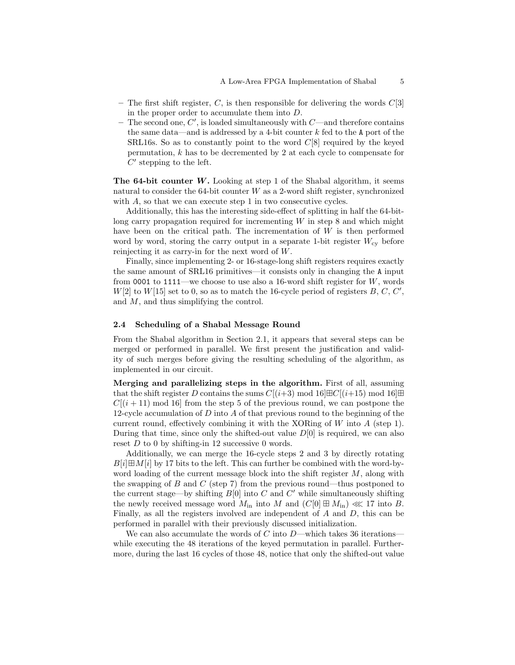- The first shift register, C, is then responsible for delivering the words  $C[3]$ in the proper order to accumulate them into D.
- The second one,  $C'$ , is loaded simultaneously with  $C$ —and therefore contains the same data—and is addressed by a 4-bit counter  $k$  fed to the A port of the SRL16s. So as to constantly point to the word  $C[8]$  required by the keyed permutation, k has to be decremented by 2 at each cycle to compensate for  $C'$  stepping to the left.

**The 64-bit counter W.** Looking at step 1 of the Shabal algorithm, it seems natural to consider the  $64$ -bit counter W as a 2-word shift register, synchronized with A, so that we can execute step 1 in two consecutive cycles.

Additionally, this has the interesting side-effect of splitting in half the 64-bitlong carry propagation required for incrementing  $W$  in step 8 and which might have been on the critical path. The incrementation of  $W$  is then performed word by word, storing the carry output in a separate 1-bit register  $W_{\rm cv}$  before reinjecting it as carry-in for the next word of W.

Finally, since implementing 2- or 16-stage-long shift registers requires exactly the same amount of SRL16 primitives—it consists only in changing the A input from 0001 to  $1111$ —we choose to use also a 16-word shift register for  $W$ , words  $W[2]$  to  $W[15]$  set to 0, so as to match the 16-cycle period of registers  $B, C, C',$ and M, and thus simplifying the control.

#### 2.4 Scheduling of a Shabal Message Round

From the Shabal algorithm in Section 2.1, it appears that several steps can be merged or performed in parallel. We first present the justification and validity of such merges before giving the resulting scheduling of the algorithm, as implemented in our circuit.

Merging and parallelizing steps in the algorithm. First of all, assuming that the shift register D contains the sums  $C[(i+3) \text{ mod } 16]\boxplus C[(i+15) \text{ mod } 16]\boxplus$  $C[(i+11) \text{ mod } 16]$  from the step 5 of the previous round, we can postpone the 12-cycle accumulation of D into A of that previous round to the beginning of the current round, effectively combining it with the XORing of  $W$  into  $A$  (step 1). During that time, since only the shifted-out value  $D[0]$  is required, we can also reset  $D$  to 0 by shifting-in 12 successive 0 words.

Additionally, we can merge the 16-cycle steps 2 and 3 by directly rotating  $B[i]\boxplus M[i]$  by 17 bits to the left. This can further be combined with the word-byword loading of the current message block into the shift register  $M$ , along with the swapping of  $B$  and  $C$  (step 7) from the previous round—thus postponed to the current stage—by shifting  $B[0]$  into C and C' while simultaneously shifting the newly received message word  $M_{\text{in}}$  into  $M$  and  $(C[0] \boxplus M_{\text{in}}) \ll 17$  into  $B$ . Finally, as all the registers involved are independent of A and D, this can be performed in parallel with their previously discussed initialization.

We can also accumulate the words of C into  $D$ —which takes 36 iterations while executing the 48 iterations of the keyed permutation in parallel. Furthermore, during the last 16 cycles of those 48, notice that only the shifted-out value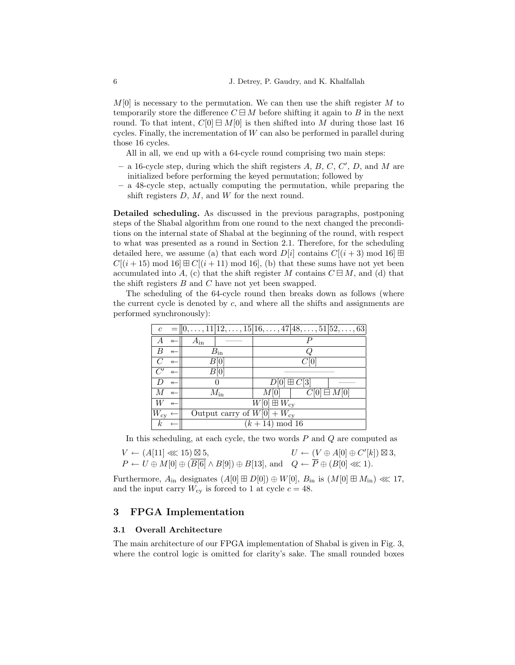$M[0]$  is necessary to the permutation. We can then use the shift register M to temporarily store the difference  $C \boxminus M$  before shifting it again to B in the next round. To that intent,  $C[0] \boxminus M[0]$  is then shifted into M during those last 16 cycles. Finally, the incrementation of  $W$  can also be performed in parallel during those 16 cycles.

All in all, we end up with a 64-cycle round comprising two main steps:

- a 16-cycle step, during which the shift registers  $A, B, C, C', D$ , and M are initialized before performing the keyed permutation; followed by
- a 48-cycle step, actually computing the permutation, while preparing the shift registers  $D, M$ , and  $W$  for the next round.

Detailed scheduling. As discussed in the previous paragraphs, postponing steps of the Shabal algorithm from one round to the next changed the preconditions on the internal state of Shabal at the beginning of the round, with respect to what was presented as a round in Section 2.1. Therefore, for the scheduling detailed here, we assume (a) that each word  $D[i]$  contains  $C[(i+3) \text{ mod } 16] \boxplus$  $C[(i+15) \mod 16] \boxplus C[(i+11) \mod 16]$ , (b) that these sums have not yet been accumulated into A, (c) that the shift register M contains  $C \boxminus M$ , and (d) that the shift registers B and C have not yet been swapped.

The scheduling of the 64-cycle round then breaks down as follows (where the current cycle is denoted by  $c$ , and where all the shifts and assignments are performed synchronously):

|                           |                   |                                            | $c = [0, \ldots, 11   12, \ldots, 15   16, \ldots, 47   48, \ldots, 51   52, \ldots, 63]$ |                      |                       |  |  |  |
|---------------------------|-------------------|--------------------------------------------|-------------------------------------------------------------------------------------------|----------------------|-----------------------|--|--|--|
|                           | $\leftarrow$      | $A_{\rm in}$                               |                                                                                           |                      |                       |  |  |  |
|                           | $\leftarrow$      |                                            | $B_{\rm in}$                                                                              |                      |                       |  |  |  |
|                           | $\leftarrow$      |                                            | B 0                                                                                       |                      |                       |  |  |  |
|                           | $\leftarrow$      |                                            | B 0                                                                                       |                      |                       |  |  |  |
|                           | $\leftarrow$      |                                            |                                                                                           | $D[0] \boxplus C[3]$ |                       |  |  |  |
|                           | $\leftrightarrow$ |                                            | $M_{\rm in}$                                                                              | M 0                  | $C[0] \boxminus M[0]$ |  |  |  |
|                           | $\leftarrow$      | $\overline{W}[0] \boxplus W_{\mathrm{cv}}$ |                                                                                           |                      |                       |  |  |  |
| $W_{\rm cy}$ $\leftarrow$ |                   | Output carry of $W[0] + W_{cy}$            |                                                                                           |                      |                       |  |  |  |
| $\boldsymbol{k}$          |                   | $(k+14) \mod 16$                           |                                                                                           |                      |                       |  |  |  |

In this scheduling, at each cycle, the two words  $P$  and  $Q$  are computed as  $V \leftarrow (A[11] \ll 15) \boxtimes 5$ 5,  $U \leftarrow (V \oplus A[0] \oplus C'[k]) \boxtimes 3,$ 

$$
P \leftarrow U \oplus M[0] \oplus (\overline{B[6]} \wedge B[9]) \oplus B[13],
$$
 and  $Q \leftarrow \overline{P} \oplus (B[0] \ll 1).$ 

Furthermore,  $A_{\text{in}}$  designates  $(A[0] \boxplus D[0]) \oplus W[0], B_{\text{in}}$  is  $(M[0] \boxplus M_{\text{in}}) \ll 17$ , and the input carry  $W_{cy}$  is forced to 1 at cycle  $c = 48$ .

## 3 FPGA Implementation

#### 3.1 Overall Architecture

The main architecture of our FPGA implementation of Shabal is given in Fig. 3, where the control logic is omitted for clarity's sake. The small rounded boxes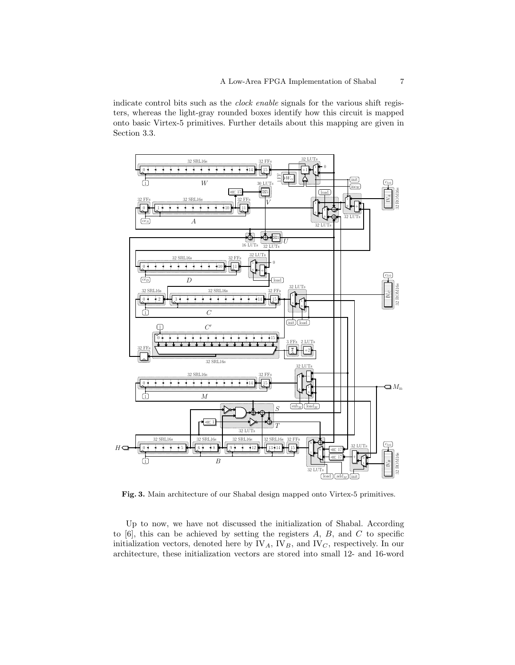indicate control bits such as the clock enable signals for the various shift registers, whereas the light-gray rounded boxes identify how this circuit is mapped onto basic Virtex-5 primitives. Further details about this mapping are given in Section 3.3.



Fig. 3. Main architecture of our Shabal design mapped onto Virtex-5 primitives.

Up to now, we have not discussed the initialization of Shabal. According to  $[6]$ , this can be achieved by setting the registers  $A, B$ , and  $C$  to specific initialization vectors, denoted here by  $\mathbb{IV}_A$ ,  $\mathbb{IV}_B$ , and  $\mathbb{IV}_C$ , respectively. In our architecture, these initialization vectors are stored into small 12- and 16-word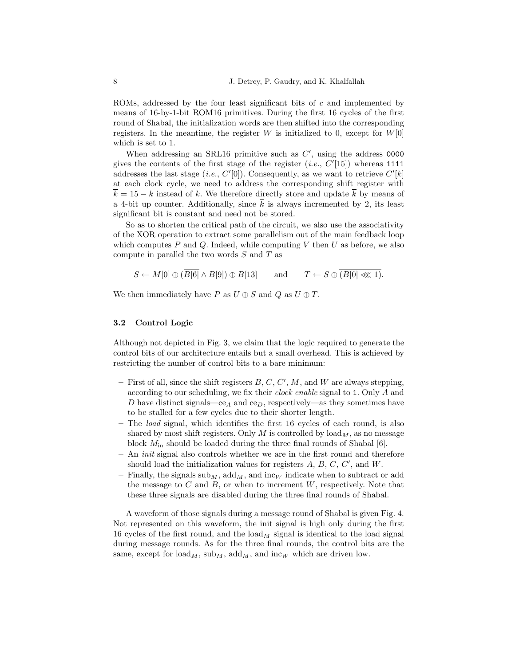ROMs, addressed by the four least significant bits of c and implemented by means of 16-by-1-bit ROM16 primitives. During the first 16 cycles of the first round of Shabal, the initialization words are then shifted into the corresponding registers. In the meantime, the register  $W$  is initialized to 0, except for  $W[0]$ which is set to 1.

When addressing an SRL16 primitive such as  $C'$ , using the address 0000 gives the contents of the first stage of the register  $(i.e., C'[15])$  whereas 1111 addresses the last stage (*i.e.*,  $C'[0]$ ). Consequently, as we want to retrieve  $C'[k]$ at each clock cycle, we need to address the corresponding shift register with  $k = 15 - k$  instead of k. We therefore directly store and update k by means of a 4-bit up counter. Additionally, since  $\overline{k}$  is always incremented by 2, its least significant bit is constant and need not be stored.

So as to shorten the critical path of the circuit, we also use the associativity of the XOR operation to extract some parallelism out of the main feedback loop which computes  $P$  and  $Q$ . Indeed, while computing  $V$  then  $U$  as before, we also compute in parallel the two words  $S$  and  $T$  as

$$
S \leftarrow M[0] \oplus (\overline{B[6]} \wedge B[9]) \oplus B[13] \quad \text{and} \quad T \leftarrow S \oplus \overline{(B[0] \lll 1)}.
$$

We then immediately have P as  $U \oplus S$  and Q as  $U \oplus T$ .

#### 3.2 Control Logic

Although not depicted in Fig. 3, we claim that the logic required to generate the control bits of our architecture entails but a small overhead. This is achieved by restricting the number of control bits to a bare minimum:

- First of all, since the shift registers  $B, C, C', M$ , and W are always stepping, according to our scheduling, we fix their clock enable signal to 1. Only A and D have distinct signals—ce<sub>A</sub> and ce<sub>D</sub>, respectively—as they sometimes have to be stalled for a few cycles due to their shorter length.
- The load signal, which identifies the first 16 cycles of each round, is also shared by most shift registers. Only  $M$  is controlled by load $_M$ , as no message block  $M_{\text{in}}$  should be loaded during the three final rounds of Shabal [6].
- $-$  An *init* signal also controls whether we are in the first round and therefore should load the initialization values for registers  $A, B, C, C'$ , and  $W$ .
- Finally, the signals  $\text{sub}_M$ ,  $\text{add}_M$ , and  $\text{inc}_W$  indicate when to subtract or add the message to  $C$  and  $B$ , or when to increment  $W$ , respectively. Note that these three signals are disabled during the three final rounds of Shabal.

A waveform of those signals during a message round of Shabal is given Fig. 4. Not represented on this waveform, the init signal is high only during the first 16 cycles of the first round, and the load  $_M$  signal is identical to the load signal during message rounds. As for the three final rounds, the control bits are the same, except for  $\text{load}_M$ ,  $\text{sub}_M$ ,  $\text{add}_M$ , and  $\text{inc}_W$  which are driven low.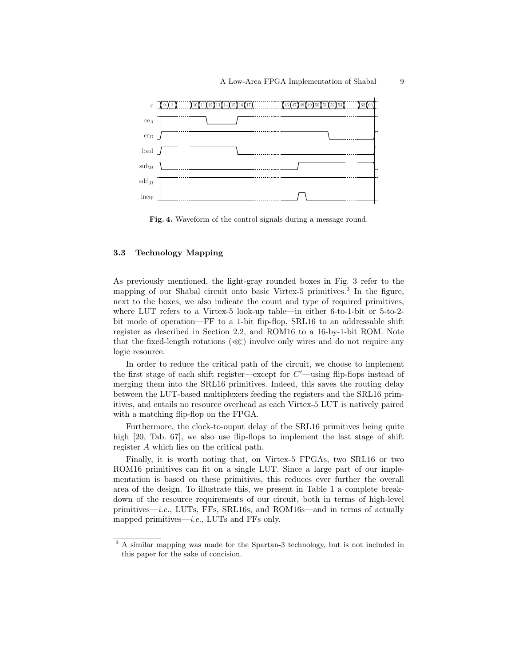

Fig. 4. Waveform of the control signals during a message round.

#### 3.3 Technology Mapping

As previously mentioned, the light-gray rounded boxes in Fig. 3 refer to the mapping of our Shabal circuit onto basic Virtex-5 primitives.<sup>3</sup> In the figure, next to the boxes, we also indicate the count and type of required primitives, where LUT refers to a Virtex-5 look-up table—in either 6-to-1-bit or 5-to-2 bit mode of operation—FF to a 1-bit flip-flop, SRL16 to an addressable shift register as described in Section 2.2, and ROM16 to a 16-by-1-bit ROM. Note that the fixed-length rotations (≪) involve only wires and do not require any logic resource.

In order to reduce the critical path of the circuit, we choose to implement the first stage of each shift register—except for  $C'$ —using flip-flops instead of merging them into the SRL16 primitives. Indeed, this saves the routing delay between the LUT-based multiplexers feeding the registers and the SRL16 primitives, and entails no resource overhead as each Virtex-5 LUT is natively paired with a matching flip-flop on the FPGA.

Furthermore, the clock-to-ouput delay of the SRL16 primitives being quite high [20, Tab. 67], we also use flip-flops to implement the last stage of shift register A which lies on the critical path.

Finally, it is worth noting that, on Virtex-5 FPGAs, two SRL16 or two ROM16 primitives can fit on a single LUT. Since a large part of our implementation is based on these primitives, this reduces ever further the overall area of the design. To illustrate this, we present in Table 1 a complete breakdown of the resource requirements of our circuit, both in terms of high-level primitives—i.e., LUTs, FFs, SRL16s, and ROM16s—and in terms of actually mapped primitives—i.e., LUTs and FFs only.

<sup>&</sup>lt;sup>3</sup> A similar mapping was made for the Spartan-3 technology, but is not included in this paper for the sake of concision.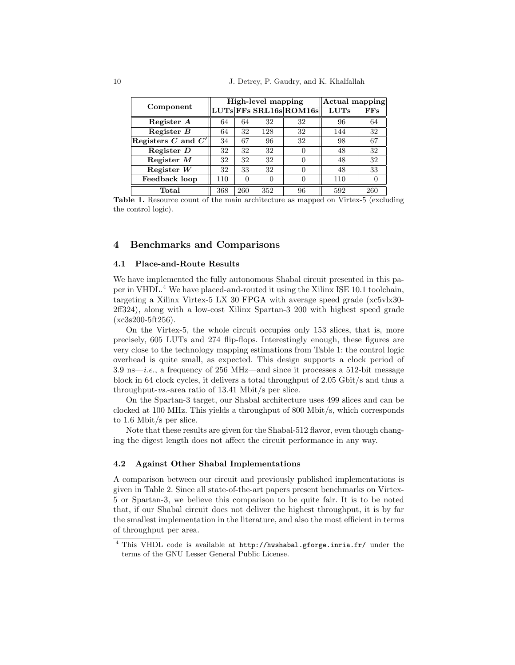|                      |     |          | High-level mapping | Actual mapping                                                           |             |              |
|----------------------|-----|----------|--------------------|--------------------------------------------------------------------------|-------------|--------------|
| Component            |     |          |                    | $\overline{\mathrm{LUTs}} \mathrm{FFs} \mathrm{SRL16s} \mathrm{ROM16s} $ | <b>LUTs</b> | $_{\rm FFs}$ |
| Register A           | 64  | 64       | 32                 | 32                                                                       | 96          | 64           |
| Register $B$         | 64  | 32       | 128                | 32                                                                       | 144         | 32           |
| Registers C and $C'$ | 34  | 67       | 96                 | 32                                                                       | 98          | 67           |
| Register $D$         | 32  | 32       | 32                 | $\theta$                                                                 | 48          | 32           |
| Register $M$         | 32  | 32       | 32                 | $\mathbf{0}$                                                             | 48          | 32           |
| Register $W$         | 32  | 33       | 32                 | $\mathbf{0}$                                                             | 48          | 33           |
| Feedback loop        | 110 | $\Omega$ |                    | 0                                                                        | 110         |              |
| $\rm Total$          | 368 | 260      | 352                | 96                                                                       | 592         | 260          |

Table 1. Resource count of the main architecture as mapped on Virtex-5 (excluding the control logic).

### 4 Benchmarks and Comparisons

#### 4.1 Place-and-Route Results

We have implemented the fully autonomous Shabal circuit presented in this paper in VHDL.<sup>4</sup> We have placed-and-routed it using the Xilinx ISE 10.1 toolchain, targeting a Xilinx Virtex-5 LX 30 FPGA with average speed grade (xc5vlx30- 2ff324), along with a low-cost Xilinx Spartan-3 200 with highest speed grade  $(xc3s200-5ft256)$ .

On the Virtex-5, the whole circuit occupies only 153 slices, that is, more precisely, 605 LUTs and 274 flip-flops. Interestingly enough, these figures are very close to the technology mapping estimations from Table 1: the control logic overhead is quite small, as expected. This design supports a clock period of 3.9 ns—i.e., a frequency of 256 MHz—and since it processes a 512-bit message block in 64 clock cycles, it delivers a total throughput of 2.05 Gbit/s and thus a throughput-vs.-area ratio of 13.41 Mbit/s per slice.

On the Spartan-3 target, our Shabal architecture uses 499 slices and can be clocked at 100 MHz. This yields a throughput of 800 Mbit/s, which corresponds to 1.6 Mbit/s per slice.

Note that these results are given for the Shabal-512 flavor, even though changing the digest length does not affect the circuit performance in any way.

#### 4.2 Against Other Shabal Implementations

A comparison between our circuit and previously published implementations is given in Table 2. Since all state-of-the-art papers present benchmarks on Virtex-5 or Spartan-3, we believe this comparison to be quite fair. It is to be noted that, if our Shabal circuit does not deliver the highest throughput, it is by far the smallest implementation in the literature, and also the most efficient in terms of throughput per area.

<sup>4</sup> This VHDL code is available at http://hwshabal.gforge.inria.fr/ under the terms of the GNU Lesser General Public License.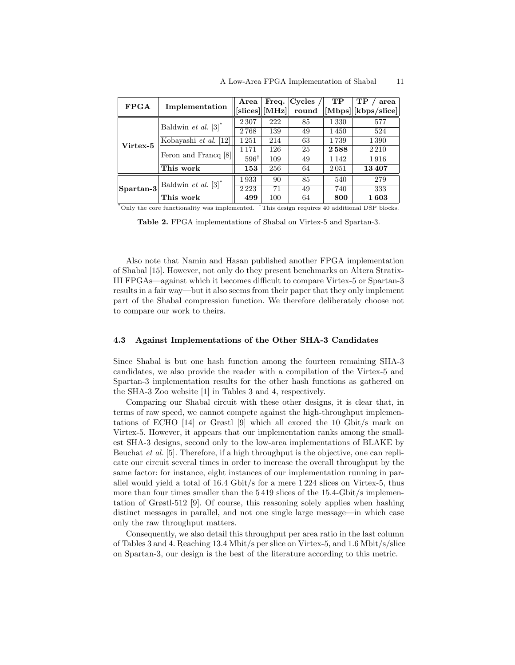|             |                                  | Area                                                                                | Freq. $\vert$ | Cycles / | TP      | TP<br>area                           |
|-------------|----------------------------------|-------------------------------------------------------------------------------------|---------------|----------|---------|--------------------------------------|
| <b>FPGA</b> | Implementation                   | $\left\vert\left[\text{slices}\right]\right\vert\left[\text{MHz}\right]\right\vert$ |               | round    |         | $\vert$ [Mbps] $\vert$ [kbps/slice]] |
|             | Baldwin et al. $[3]^*$           | 2307                                                                                | 222           | 85       | 1330    | 577                                  |
|             |                                  | 2768                                                                                | 139           | 49       | 1450    | 524                                  |
| Virtex-5    | Kobayashi et al. [12]            | 1251                                                                                | 214           | 63       | 1739    | 1390                                 |
|             |                                  | 1 1 7 1                                                                             | 126           | 25       | 2588    | 2 2 1 0                              |
|             | Feron and Francq [8]             | $596^{\dagger}$                                                                     | 109           | 49       | 1 1 4 2 | 1916                                 |
|             | This work                        | 153                                                                                 | 256           | 64       | 2051    | 13407                                |
|             |                                  | 1933                                                                                | 90            | 85       | 540     | 279                                  |
|             | Spartan-3 Baldwin et al. $[3]^*$ | 2223                                                                                | 71            | 49       | 740     | 333                                  |
|             | This work                        | 499                                                                                 | 100           | 64       | 800     | 1603                                 |

\*Only the core functionality was implemented. †This design requires 40 additional DSP blocks.

Table 2. FPGA implementations of Shabal on Virtex-5 and Spartan-3.

Also note that Namin and Hasan published another FPGA implementation of Shabal [15]. However, not only do they present benchmarks on Altera Stratix-III FPGAs—against which it becomes difficult to compare Virtex-5 or Spartan-3 results in a fair way—but it also seems from their paper that they only implement part of the Shabal compression function. We therefore deliberately choose not to compare our work to theirs.

#### 4.3 Against Implementations of the Other SHA-3 Candidates

Since Shabal is but one hash function among the fourteen remaining SHA-3 candidates, we also provide the reader with a compilation of the Virtex-5 and Spartan-3 implementation results for the other hash functions as gathered on the SHA-3 Zoo website [1] in Tables 3 and 4, respectively.

Comparing our Shabal circuit with these other designs, it is clear that, in terms of raw speed, we cannot compete against the high-throughput implementations of ECHO [14] or Grøstl [9] which all exceed the 10 Gbit/s mark on Virtex-5. However, it appears that our implementation ranks among the smallest SHA-3 designs, second only to the low-area implementations of BLAKE by Beuchat et al. [5]. Therefore, if a high throughput is the objective, one can replicate our circuit several times in order to increase the overall throughput by the same factor: for instance, eight instances of our implementation running in parallel would yield a total of 16.4 Gbit/s for a mere 1 224 slices on Virtex-5, thus more than four times smaller than the 5 419 slices of the 15.4-Gbit/s implementation of Grøstl-512 [9]. Of course, this reasoning solely applies when hashing distinct messages in parallel, and not one single large message—in which case only the raw throughput matters.

Consequently, we also detail this throughput per area ratio in the last column of Tables 3 and 4. Reaching 13.4 Mbit/s per slice on Virtex-5, and 1.6 Mbit/s/slice on Spartan-3, our design is the best of the literature according to this metric.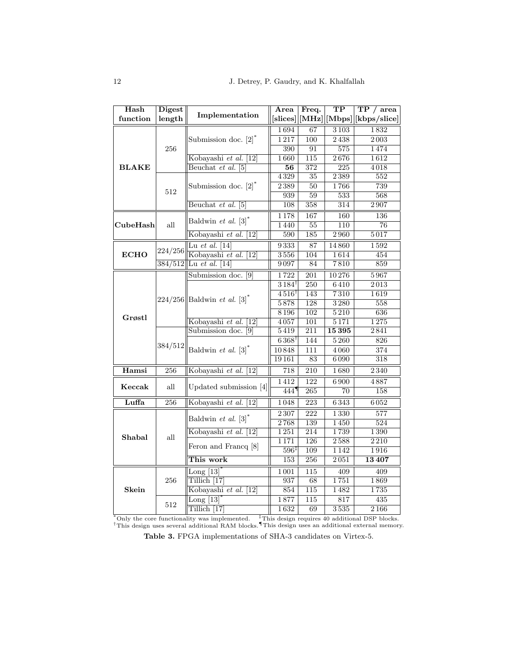| Hash         | <b>Digest</b>        | Implementation                                     | Area                        | Freq.            | $\overline{\text{TP}}$ | TP / area         |
|--------------|----------------------|----------------------------------------------------|-----------------------------|------------------|------------------------|-------------------|
| function     | length               |                                                    | [slices]                    | [MHz]            | [Mbps]                 | [kbps/slice]      |
|              |                      |                                                    | 1694                        | 67               | $\overline{3103}$      | 1832              |
|              |                      | Submission doc. $[2]^*$                            | 1217                        | 100              | 2438                   | $2\,003$          |
|              | 256                  |                                                    | 390                         | 91               | 575                    | 1474              |
|              |                      | Kobayashi et al. [12]                              | 1660                        | 115              | 2676                   | 1612              |
| <b>BLAKE</b> |                      | Beuchat et al. $[5]$                               | 56                          | 372              | 225                    | 4018              |
|              |                      |                                                    | 4329                        | $\overline{35}$  | 2389                   | $\overline{552}$  |
|              | 512                  | Submission doc. $[2]$ <sup>*</sup>                 | $2\,389$                    | 50               | 1766                   | 739               |
|              |                      |                                                    | 939                         | $\overline{59}$  | 533                    | 568               |
|              |                      | Beuchat et al. [5]                                 | 108                         | 358              | $\overline{314}$       | 2907              |
|              |                      |                                                    | 1178                        | 167              | 160                    | 136               |
| CubeHash     | all                  | Baldwin et al. $[3]^*$                             | 1440                        | $\overline{55}$  | 110                    | 76                |
|              |                      | Kobayashi et al. [12]                              | 590                         | 185              | $\overline{2960}$      | 5017              |
|              |                      | Lu et al. $[14]$                                   | 9333                        | 87               | 14860                  | 1592              |
| <b>ECHO</b>  | 224/256              | Kobayashi et al. [12]                              | 3556                        | 104              | 1614                   | 454               |
|              | $\frac{384}{512}$    | Lu et al. [14]                                     | 9097                        | 84               | 7810                   | 859               |
|              |                      | Submission doc. [9]                                | 1722                        | $\overline{201}$ | 10276                  | 5967              |
|              |                      | $224/256$   Baldwin <i>et al.</i> [3] <sup>*</sup> | $3184^{\dagger}$            | 250              | 6410                   | 2013              |
|              |                      |                                                    | $4516^{\dagger}$            | 143              | $\overline{7310}$      | 1619              |
|              |                      |                                                    | 5878                        | 128              | 3280                   | 558               |
|              |                      |                                                    | 8196                        | $\overline{102}$ | $\overline{5210}$      | 636               |
| Grøstl       |                      | Kobayashi et al. [12]                              | 4057                        | 101              | 5171                   | 1275              |
|              | 384/512              | Submission doc. [9]                                | 5419                        | 211              | 15395                  | 2841              |
|              |                      | Baldwin et al. $[3]$ <sup>*</sup>                  | $6368^{\dagger}$            | 144              | 5260                   | 826               |
|              |                      |                                                    | 10848                       | 111              | 4060                   | 374               |
|              |                      |                                                    | 19161                       | 83               | 6090                   | 318               |
| Hamsi        | 256                  | Kobayashi et al. [12]                              | 718                         | 210              | 1680                   | 2340              |
|              | $\operatorname{all}$ |                                                    | 1412                        | $\overline{122}$ | 6900                   | 4887              |
| Keccak       |                      | Updated submission [4]                             | 444                         | $\overline{265}$ | 70                     | 158               |
| Luffa        | 256                  | Kobayashi et al. [12]                              | 1048                        | 223              | 6343                   | 6052              |
|              | all                  |                                                    | 2307                        | $\overline{222}$ | 1330                   | 577               |
|              |                      | Baldwin et al. $[3]^*$                             | 2768                        | 139              | 1450                   | 524               |
|              |                      | Kobayashi et al.<br> 12                            | 1251                        | 214              | 1739                   | 1390              |
| Shabal       |                      |                                                    | 1171                        | 126              | 2588                   | 2210              |
|              |                      | Feron and Francq [8]                               | $\overline{596}^{\ddagger}$ | 109              | 1142                   | 1916              |
|              |                      | This work                                          | 153                         | 256              | 2051                   | 13407             |
|              | 256                  | Long $[13]$                                        | 1001                        | 115              | 409                    | 409               |
|              |                      | Tillich <sup>[17]</sup>                            | 937                         | 68               | 1751                   | 1869              |
| Skein        |                      | Kobayashi et al.<br>[12]                           | 854                         | $\overline{115}$ | 1482                   | 1735              |
|              | 512                  | Long $[13]$                                        | 1877                        | 115              | 817                    | 435               |
|              |                      | Tillich <sup>[17]</sup>                            | 1632                        | 69               | 3535                   | $\overline{2166}$ |

\*Only the core functionality was implemented. †This design uses several additional RAM blocks. ‡This design requires 40 additional DSP blocks. ¶This design uses an additional external memory.

Table 3. FPGA implementations of SHA-3 candidates on Virtex-5.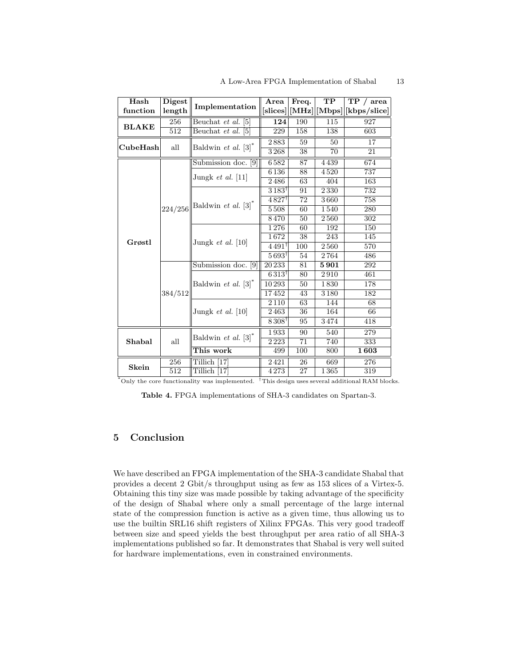| Hash         | <b>Digest</b> |                                                                | Area                                    | Freq. | TP   | TP / area               |
|--------------|---------------|----------------------------------------------------------------|-----------------------------------------|-------|------|-------------------------|
| function     | length        | Implementation                                                 | [slices]                                |       |      | [MHz][Mbps][kbps/slice] |
|              | 256           | Beuchat et al. [5]                                             | 124                                     | 190   | 115  | 927                     |
| <b>BLAKE</b> | 512           | Beuchat et al. [5]                                             | 229                                     | 158   | 138  | 603                     |
|              |               | Baldwin $et$ al. $[3]$ <sup>*</sup>                            | 2883                                    | 59    | 50   | 17                      |
| CubeHash     | all           |                                                                | 3268                                    | 38    | 70   | 21                      |
|              |               | Submission doc. [9]                                            | $\overline{6}$ 582                      | 87    | 4439 | 674                     |
|              |               |                                                                | 6136                                    | 88    | 4520 | 737                     |
|              |               | Jungk <i>et al.</i> [11]                                       | 2486                                    | 63    | 404  | 163                     |
|              |               |                                                                | $3183^{\dagger}$                        | 91    | 2330 | 732                     |
|              |               | $\vert$ 224/256 $\vert$ Baldwin <i>et al.</i> [3] <sup>*</sup> | $4827$ <sup>t</sup>                     | 72    | 3660 | 758                     |
|              |               |                                                                | 5508                                    | 60    | 1540 | 280                     |
|              |               |                                                                | 8470                                    | 50    | 2560 | 302                     |
|              |               | Jungk $et$ al. [10]                                            | 1276                                    | 60    | 192  | 150                     |
| Grøstl       |               |                                                                | 1672                                    | 38    | 243  | 145                     |
|              |               |                                                                | $4491^{\dagger}$                        | 100   | 2560 | 570                     |
|              |               |                                                                | $5693^{\dagger}$                        | 54    | 2764 | 486                     |
|              |               | Submission doc. [9]                                            | 20233                                   | 81    | 5901 | 292                     |
|              | 384/512       | Baldwin et al. $[3]^*$                                         | $6\,313^{\scriptscriptstyle\mathsf{T}}$ | 80    | 2910 | 461                     |
|              |               |                                                                | 10293                                   | 50    | 1830 | 178                     |
|              |               |                                                                | 17452                                   | 43    | 3180 | 182                     |
|              |               | Jungk $et$ al. [10]                                            | 2110                                    | 63    | 144  | 68                      |
|              |               |                                                                | 2463                                    | 36    | 164  | 66                      |
|              |               |                                                                | $8308^{\dagger}$                        | 95    | 3474 | 418                     |
|              | all           |                                                                | 1933                                    | 90    | 540  | 279                     |
| Shabal       |               | Baldwin $et$ al. $[3]$ <sup>*</sup>                            | 2223                                    | 71    | 740  | 333                     |
|              |               | This work                                                      | 499                                     | 100   | 800  | 1603                    |
|              | 256           | Tillich [17]                                                   | 2421                                    | 26    | 669  | 276                     |
| Skein        | 512           | Tillich [17]                                                   | 4273                                    | 27    | 1365 | 319                     |

\*Only the core functionality was implemented.  $\dagger$ This design uses several additional RAM blocks.

Table 4. FPGA implementations of SHA-3 candidates on Spartan-3.

## 5 Conclusion

We have described an FPGA implementation of the SHA-3 candidate Shabal that provides a decent 2 Gbit/s throughput using as few as 153 slices of a Virtex-5. Obtaining this tiny size was made possible by taking advantage of the specificity of the design of Shabal where only a small percentage of the large internal state of the compression function is active as a given time, thus allowing us to use the builtin SRL16 shift registers of Xilinx FPGAs. This very good tradeoff between size and speed yields the best throughput per area ratio of all SHA-3 implementations published so far. It demonstrates that Shabal is very well suited for hardware implementations, even in constrained environments.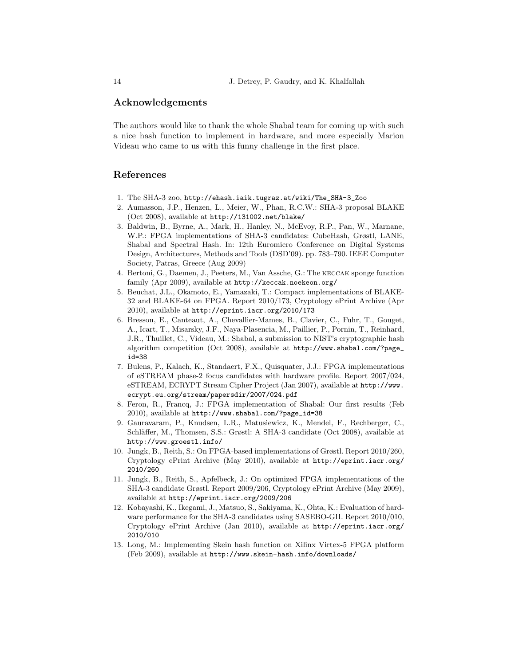### Acknowledgements

The authors would like to thank the whole Shabal team for coming up with such a nice hash function to implement in hardware, and more especially Marion Videau who came to us with this funny challenge in the first place.

## References

- 1. The SHA-3 zoo, http://ehash.iaik.tugraz.at/wiki/The\_SHA-3\_Zoo
- 2. Aumasson, J.P., Henzen, L., Meier, W., Phan, R.C.W.: SHA-3 proposal BLAKE (Oct 2008), available at http://131002.net/blake/
- 3. Baldwin, B., Byrne, A., Mark, H., Hanley, N., McEvoy, R.P., Pan, W., Marnane, W.P.: FPGA implementations of SHA-3 candidates: CubeHash, Grøstl, LANE, Shabal and Spectral Hash. In: 12th Euromicro Conference on Digital Systems Design, Architectures, Methods and Tools (DSD'09). pp. 783–790. IEEE Computer Society, Patras, Greece (Aug 2009)
- 4. Bertoni, G., Daemen, J., Peeters, M., Van Assche, G.: The keccak sponge function family (Apr 2009), available at http://keccak.noekeon.org/
- 5. Beuchat, J.L., Okamoto, E., Yamazaki, T.: Compact implementations of BLAKE-32 and BLAKE-64 on FPGA. Report 2010/173, Cryptology ePrint Archive (Apr 2010), available at http://eprint.iacr.org/2010/173
- 6. Bresson, E., Canteaut, A., Chevallier-Mames, B., Clavier, C., Fuhr, T., Gouget, A., Icart, T., Misarsky, J.F., Naya-Plasencia, M., Paillier, P., Pornin, T., Reinhard, J.R., Thuillet, C., Videau, M.: Shabal, a submission to NIST's cryptographic hash algorithm competition (Oct 2008), available at http://www.shabal.com/?page\_ id=38
- 7. Bulens, P., Kalach, K., Standaert, F.X., Quisquater, J.J.: FPGA implementations of eSTREAM phase-2 focus candidates with hardware profile. Report 2007/024, eSTREAM, ECRYPT Stream Cipher Project (Jan 2007), available at http://www. ecrypt.eu.org/stream/papersdir/2007/024.pdf
- 8. Feron, R., Francq, J.: FPGA implementation of Shabal: Our first results (Feb 2010), available at http://www.shabal.com/?page\_id=38
- 9. Gauravaram, P., Knudsen, L.R., Matusiewicz, K., Mendel, F., Rechberger, C., Schläffer, M., Thomsen, S.S.: Grøstl: A SHA-3 candidate (Oct 2008), available at http://www.groestl.info/
- 10. Jungk, B., Reith, S.: On FPGA-based implementations of Grøstl. Report 2010/260, Cryptology ePrint Archive (May 2010), available at http://eprint.iacr.org/ 2010/260
- 11. Jungk, B., Reith, S., Apfelbeck, J.: On optimized FPGA implementations of the SHA-3 candidate Grøstl. Report 2009/206, Cryptology ePrint Archive (May 2009), available at http://eprint.iacr.org/2009/206
- 12. Kobayashi, K., Ikegami, J., Matsuo, S., Sakiyama, K., Ohta, K.: Evaluation of hardware performance for the SHA-3 candidates using SASEBO-GII. Report 2010/010, Cryptology ePrint Archive (Jan 2010), available at http://eprint.iacr.org/ 2010/010
- 13. Long, M.: Implementing Skein hash function on Xilinx Virtex-5 FPGA platform (Feb 2009), available at http://www.skein-hash.info/downloads/